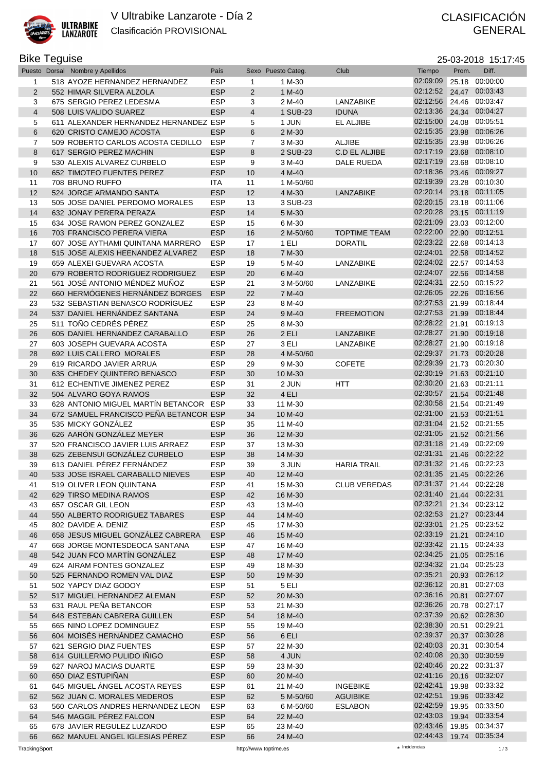

## Bike Teguise 25-03-2018 15:17:45

|                | Puesto Dorsal Nombre y Apellidos       | País       |                         | Sexo Puesto Categ. | Club                | Tiempo                  | Prom. | Diff.          |
|----------------|----------------------------------------|------------|-------------------------|--------------------|---------------------|-------------------------|-------|----------------|
| 1              | 518 AYOZE HERNANDEZ HERNANDEZ          | <b>ESP</b> | 1                       | 1 M-30             |                     | 02:09:09                | 25.18 | 00:00:00       |
| 2              | 552 HIMAR SILVERA ALZOLA               | <b>ESP</b> | $\overline{2}$          | 1 M-40             |                     | 02:12:52                |       | 24.47 00:03:43 |
| 3              | 675 SERGIO PEREZ LEDESMA               | <b>ESP</b> | 3                       | 2 M-40             | LANZABIKE           | 02:12:56                |       | 24.46 00:03:47 |
| $\overline{4}$ | 508 LUIS VALIDO SUAREZ                 | <b>ESP</b> | $\overline{\mathbf{4}}$ | 1 SUB-23           | <b>IDUNA</b>        | 02:13:36                |       | 24.34 00:04:27 |
| 5              | 611 ALEXANDER HERNANDEZ HERNANDEZ ESP  |            | 5                       | 1 JUN              | EL ALJIBE           | 02:15:00                |       | 24.08 00:05:51 |
| $6\phantom{1}$ | 620 CRISTO CAMEJO ACOSTA               | <b>ESP</b> | 6                       | 2 M-30             |                     | 02:15:35                |       | 23.98 00:06:26 |
| $\overline{7}$ | 509 ROBERTO CARLOS ACOSTA CEDILLO      | <b>ESP</b> | 7                       | 3 M-30             | <b>ALJIBE</b>       | 02:15:35                |       | 23.98 00:06:26 |
| 8              | 617 SERGIO PEREZ MACHIN                | <b>ESP</b> | 8                       | 2 SUB-23           | C.D EL ALJIBE       | 02:17:19                | 23.68 | 00:08:10       |
| 9              | 530 ALEXIS ALVAREZ CURBELO             | <b>ESP</b> | 9                       | 3 M-40             | DALE RUEDA          | 02:17:19                |       | 23.68 00:08:10 |
| 10             | 652 TIMOTEO FUENTES PEREZ              | <b>ESP</b> | 10                      | 4 M-40             |                     | 02:18:36                |       | 23.46 00:09:27 |
| 11             | 708 BRUNO RUFFO                        | <b>ITA</b> | 11                      | 1 M-50/60          |                     | 02:19:39                |       | 23.28 00:10:30 |
| 12             | 524 JORGE ARMANDO SANTA                | <b>ESP</b> | 12                      | 4 M-30             | LANZABIKE           | 02:20:14                |       | 23.18 00:11:05 |
| 13             | 505 JOSE DANIEL PERDOMO MORALES        | <b>ESP</b> | 13                      | 3 SUB-23           |                     | 02:20:15                |       | 23.18 00:11:06 |
| 14             | 632 JONAY PERERA PERAZA                | <b>ESP</b> | 14                      | 5 M-30             |                     | 02:20:28                |       | 23.15 00:11:19 |
| 15             | 634 JOSE RAMON PEREZ GONZALEZ          | <b>ESP</b> | 15                      | 6 M-30             |                     | 02:21:09                |       | 23.03 00:12:00 |
| 16             | 703 FRANCISCO PERERA VIERA             | <b>ESP</b> | 16                      | 2 M-50/60          | <b>TOPTIME TEAM</b> | 02:22:00                |       | 22.90 00:12:51 |
| 17             | 607 JOSE AYTHAMI QUINTANA MARRERO      | <b>ESP</b> | 17                      | 1 ELI              | <b>DORATIL</b>      | 02:23:22                |       | 22.68 00:14:13 |
| 18             | 515 JOSE ALEXIS HEENANDEZ ALVAREZ      | <b>ESP</b> | 18                      | 7 M-30             |                     | 02:24:01                |       | 22.58 00:14:52 |
| 19             | 659 ALEXEI GUEVARA ACOSTA              | <b>ESP</b> | 19                      | 5 M-40             | LANZABIKE           | 02:24:02                |       | 22.57 00:14:53 |
| 20             | 679 ROBERTO RODRIGUEZ RODRIGUEZ        | <b>ESP</b> | 20                      | 6 M-40             |                     | 02:24:07                |       | 22.56 00:14:58 |
| 21             | 561 JOSÉ ANTONIO MÉNDEZ MUÑOZ          | <b>ESP</b> | 21                      | 3 M-50/60          | LANZABIKE           | 02:24:31                |       | 22.50 00:15:22 |
| 22             | 660 HERMÓGENES HERNÁNDEZ BORGES        | <b>ESP</b> | 22                      | 7 M-40             |                     | 02:26:05                |       | 22.26 00:16:56 |
| 23             | 532 SEBASTIAN BENASCO RODRÍGUEZ        | <b>ESP</b> | 23                      | 8 M-40             |                     | 02:27:53                |       | 21.99 00:18:44 |
| 24             | 537 DANIEL HERNÁNDEZ SANTANA           | <b>ESP</b> | 24                      | 9 M-40             | <b>FREEMOTION</b>   | 02:27:53                |       | 21.99 00:18:44 |
| 25             | 511 TOÑO CEDRÉS PÉREZ                  | <b>ESP</b> | 25                      | 8 M-30             |                     | 02:28:22                |       | 21.91 00:19:13 |
| 26             | 605 DANIEL HERNANDEZ CARABALLO         | <b>ESP</b> | 26                      | 2 ELI              | LANZABIKE           | 02:28:27                |       | 21.90 00:19:18 |
| 27             | 603 JOSEPH GUEVARA ACOSTA              | <b>ESP</b> | 27                      | 3 ELI              | LANZABIKE           | 02:28:27                |       | 21.90 00:19:18 |
| 28             | 692 LUIS CALLERO MORALES               | <b>ESP</b> | 28                      | 4 M-50/60          |                     | 02:29:37                |       | 21.73 00:20:28 |
| 29             | 619 RICARDO JAVIER ARRUA               | <b>ESP</b> | 29                      | 9 M-30             | <b>COFETE</b>       | 02:29:39                |       | 21.73 00:20:30 |
| 30             | 635 CHEDEY QUINTERO BENASCO            | <b>ESP</b> | 30                      | 10 M-30            |                     | 02:30:19                |       | 21.63 00:21:10 |
| 31             | 612 ECHENTIVE JIMENEZ PEREZ            | <b>ESP</b> | 31                      | 2 JUN              | HTT                 | 02:30:20                |       | 21.63 00:21:11 |
| 32             | 504 ALVARO GOYA RAMOS                  | <b>ESP</b> | 32                      | 4 ELI              |                     | 02:30:57                |       | 21.54 00:21:48 |
| 33             | 628 ANTONIO MIGUEL MARTIN BETANCOR ESP |            | 33                      | 11 M-30            |                     | 02:30:58                |       | 21.54 00:21:49 |
| 34             | 672 SAMUEL FRANCISCO PEÑA BETANCOR ESP |            | 34                      | 10 M-40            |                     | 02:31:00                |       | 21.53 00:21:51 |
| 35             | 535 MICKY GONZÁLEZ                     | <b>ESP</b> | 35                      | 11 M-40            |                     | 02:31:04                |       | 21.52 00:21:55 |
| 36             | 626 AARÓN GONZÁLEZ MEYER               | <b>ESP</b> | 36                      | 12 M-30            |                     | 02:31:05                |       | 21.52 00:21:56 |
|                | 520 FRANCISCO JAVIER LUIS ARRAEZ       | <b>ESP</b> |                         |                    |                     | 02:31:18                |       | 21.49 00:22:09 |
| 37             |                                        |            | 37                      | 13 M-30            |                     | 02:31:31                |       | 21.46 00:22:22 |
| 38             | 625 ZEBENSUI GONZÁLEZ CURBELO          | <b>ESP</b> | 38                      | 14 M-30            |                     | 02:31:32                |       | 21.46 00:22:23 |
| 39             | 613 DANIEL PÉREZ FERNÁNDEZ             | <b>ESP</b> | 39                      | 3 JUN              | <b>HARIA TRAIL</b>  |                         |       |                |
| 40             | 533 JOSE ISRAEL CARABALLO NIEVES       | <b>ESP</b> | 40                      | 12 M-40            |                     | 02:31:35 21.45 00:22:26 |       |                |
| 41             | 519 OLIVER LEON QUINTANA               | <b>ESP</b> | 41                      | 15 M-30            | <b>CLUB VEREDAS</b> | 02:31:37 21.44 00:22:28 |       |                |
| 42             | 629 TIRSO MEDINA RAMOS                 | <b>ESP</b> | 42                      | 16 M-30            |                     | 02:31:40 21.44 00:22:31 |       |                |
| 43             | 657 OSCAR GIL LEON                     | <b>ESP</b> | 43                      | 13 M-40            |                     | 02:32:21                |       | 21.34 00:23:12 |
| 44             | 550 ALBERTO RODRIGUEZ TABARES          | <b>ESP</b> | 44                      | 14 M-40            |                     | 02:32:53                |       | 21.27 00:23:44 |
| 45             | 802 DAVIDE A. DENIZ                    | <b>ESP</b> | 45                      | 17 M-30            |                     | 02:33:01                |       | 21.25 00:23:52 |
| 46             | 658 JESUS MIGUEL GONZÁLEZ CABRERA      | <b>ESP</b> | 46                      | 15 M-40            |                     | 02:33:19                |       | 21.21 00:24:10 |
| 47             | 668 JORGE MONTESDEOCA SANTANA          | <b>ESP</b> | 47                      | 16 M-40            |                     | 02:33:42                |       | 21.15 00:24:33 |
| 48             | 542 JUAN FCO MARTÍN GONZÁLEZ           | <b>ESP</b> | 48                      | 17 M-40            |                     | 02:34:25 21.05 00:25:16 |       |                |
| 49             | 624 AIRAM FONTES GONZALEZ              | <b>ESP</b> | 49                      | 18 M-30            |                     | 02:34:32                |       | 21.04 00:25:23 |
| 50             | 525 FERNANDO ROMEN VAL DIAZ            | <b>ESP</b> | 50                      | 19 M-30            |                     | 02:35:21                |       | 20.93 00:26:12 |
| 51             | 502 YAPCY DIAZ GODOY                   | <b>ESP</b> | 51                      | 5 ELI              |                     | 02:36:12                |       | 20.81 00:27:03 |
| 52             | 517 MIGUEL HERNANDEZ ALEMAN            | <b>ESP</b> | 52                      | 20 M-30            |                     | 02:36:16                |       | 20.81 00:27:07 |
| 53             | 631 RAUL PEÑA BETANCOR                 | <b>ESP</b> | 53                      | 21 M-30            |                     | 02:36:26                |       | 20.78 00:27:17 |
| 54             | 648 ESTEBAN CABRERA GUILLEN            | <b>ESP</b> | 54                      | 18 M-40            |                     | 02:37:39                |       | 20.62 00:28:30 |
| 55             | 665 NINO LOPEZ DOMINGUEZ               | <b>ESP</b> | 55                      | 19 M-40            |                     | 02:38:30                |       | 20.51 00:29:21 |
| 56             | 604 MOISÉS HERNÁNDEZ CAMACHO           | <b>ESP</b> | 56                      | 6 ELI              |                     | 02:39:37                |       | 20.37 00:30:28 |
| 57             | 621 SERGIO DIAZ FUENTES                | <b>ESP</b> | 57                      | 22 M-30            |                     | 02:40:03                |       | 20.31 00:30:54 |
| 58             | 614 GUILLERMO PULIDO IÑIGO             | <b>ESP</b> | 58                      | 4 JUN              |                     | 02:40:08                |       | 20.30 00:30:59 |
| 59             | 627 NAROJ MACIAS DUARTE                | <b>ESP</b> | 59                      | 23 M-30            |                     | 02:40:46                |       | 20.22 00:31:37 |
| 60             | 650 DIAZ ESTUPIÑAN                     | <b>ESP</b> | 60                      | 20 M-40            |                     | 02:41:16                |       | 20.16 00:32:07 |
| 61             | 645 MIGUEL ÁNGEL ACOSTA REYES          | <b>ESP</b> | 61                      | 21 M-40            | <b>INGEBIKE</b>     | 02:42:41                |       | 19.98 00:33:32 |
| 62             | 562 JUAN C. MORALES MEDEROS            | <b>ESP</b> | 62                      | 5 M-50/60          | <b>AGUIBIKE</b>     | 02:42:51                |       | 19.96 00:33:42 |
| 63             | 560 CARLOS ANDRES HERNANDEZ LEON       | <b>ESP</b> | 63                      | 6 M-50/60          | <b>ESLABON</b>      | 02:42:59                |       | 19.95 00:33:50 |
| 64             | 546 MAGGIL PÉREZ FALCON                | <b>ESP</b> | 64                      | 22 M-40            |                     | 02:43:03                |       | 19.94 00:33:54 |
| 65             | 678 JAVIER REGULEZ LUZARDO             | <b>ESP</b> | 65                      | 23 M-40            |                     | 02:43:46                |       | 19.85 00:34:37 |
| 66             | 662 MANUEL ANGEL IGLESIAS PEREZ        | <b>ESP</b> | 66                      | 24 M-40            |                     | 02:44:43 19.74 00:35:34 |       |                |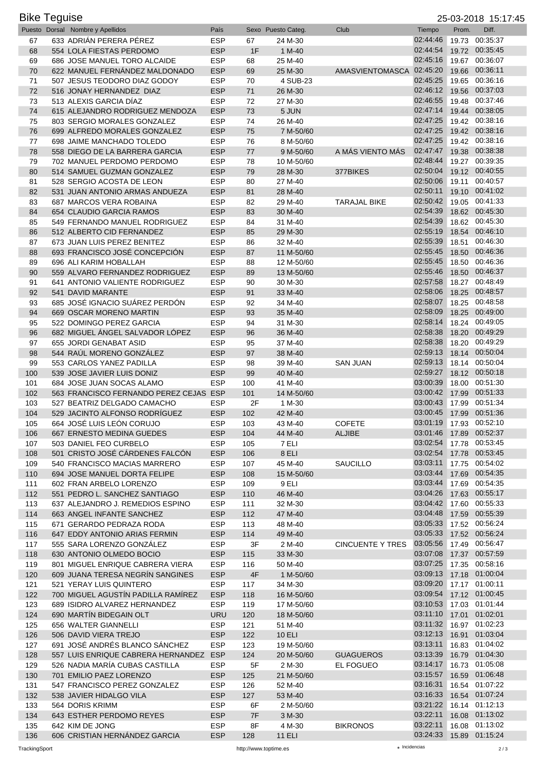| <b>Bike Teguise</b><br>25-03-2018 15:17:45 |  |                                                                |                          |            |                       |                          |                                     |                |                                  |
|--------------------------------------------|--|----------------------------------------------------------------|--------------------------|------------|-----------------------|--------------------------|-------------------------------------|----------------|----------------------------------|
|                                            |  | Puesto Dorsal Nombre y Apellidos                               | País                     |            | Sexo Puesto Categ.    | Club                     | Tiempo                              | Prom.          | Diff.                            |
| 67                                         |  | 633 ADRIÁN PERERA PÉREZ                                        | <b>ESP</b>               | 67         | 24 M-30               |                          | 02:44:46                            | 19.73          | 00:35:37                         |
| 68                                         |  | 554 LOLA FIESTAS PERDOMO                                       | <b>ESP</b>               | 1F         | 1 M-40                |                          | 02:44:54                            | 19.72          | 00:35:45                         |
| 69                                         |  | 686 JOSE MANUEL TORO ALCAIDE                                   | <b>ESP</b>               | 68         | 25 M-40               |                          | 02:45:16                            |                | 19.67 00:36:07<br>19.66 00:36:11 |
| 70<br>71                                   |  | 622 MANUEL FERNÁNDEZ MALDONADO<br>507 JESUS TEODORO DIAZ GODOY | <b>ESP</b><br><b>ESP</b> | 69<br>70   | 25 M-30<br>4 SUB-23   | AMASVIENTOMASCA 02:45:20 | 02:45:25                            |                | 19.65 00:36:16                   |
| 72                                         |  | 516 JONAY HERNANDEZ DIAZ                                       | <b>ESP</b>               | 71         | 26 M-30               |                          | 02:46:12                            |                | 19.56 00:37:03                   |
| 73                                         |  | 513 ALEXIS GARCIA DIAZ                                         | <b>ESP</b>               | 72         | 27 M-30               |                          | 02:46:55                            |                | 19.48 00:37:46                   |
| 74                                         |  | 615 ALEJANDRO RODRIGUEZ MENDOZA                                | <b>ESP</b>               | 73         | 5 JUN                 |                          | 02:47:14                            | 19.44          | 00:38:05                         |
| 75                                         |  | 803 SERGIO MORALES GONZALEZ                                    | <b>ESP</b>               | 74         | 26 M-40               |                          | 02:47:25                            |                | 19.42 00:38:16                   |
| 76                                         |  | 699 ALFREDO MORALES GONZALEZ                                   | <b>ESP</b>               | 75         | 7 M-50/60             |                          | 02:47:25                            |                | 19.42 00:38:16                   |
| 77                                         |  | 698 JAIME MANCHADO TOLEDO                                      | <b>ESP</b>               | 76         | 8 M-50/60             |                          | 02:47:25                            |                | 19.42 00:38:16                   |
| 78                                         |  | 558 DIEGO DE LA BARRERA GARCIA                                 | <b>ESP</b>               | 77         | 9 M-50/60             | A MÁS VIENTO MÁS         | 02:47:47                            | 19.38          | 00:38:38                         |
| 79                                         |  | 702 MANUEL PERDOMO PERDOMO                                     | <b>ESP</b>               | 78         | 10 M-50/60            |                          | 02:48:44                            |                | 19.27 00:39:35                   |
| 80                                         |  | 514 SAMUEL GUZMAN GONZALEZ                                     | <b>ESP</b>               | 79         | 28 M-30               | 377BIKES                 | 02:50:04                            |                | 19.12 00:40:55                   |
| 81                                         |  | 528 SERGIO ACOSTA DE LEON                                      | <b>ESP</b>               | 80         | 27 M-40               |                          | 02:50:06                            | 19.11          | 00:40:57                         |
| 82                                         |  | 531 JUAN ANTONIO ARMAS ANDUEZA                                 | <b>ESP</b>               | 81         | 28 M-40               |                          | 02:50:11                            |                | 19.10 00:41:02                   |
| 83                                         |  | 687 MARCOS VERA ROBAINA                                        | <b>ESP</b>               | 82         | 29 M-40               | <b>TARAJAL BIKE</b>      | 02:50:42                            |                | 19.05 00:41:33                   |
| 84                                         |  | 654 CLAUDIO GARCIA RAMOS                                       | <b>ESP</b>               | 83         | 30 M-40               |                          | 02:54:39                            |                | 18.62 00:45:30                   |
| 85                                         |  | 549 FERNANDO MANUEL RODRIGUEZ                                  | <b>ESP</b>               | 84         | 31 M-40               |                          | 02:54:39<br>02:55:19                | 18.62          | 00:45:30<br>00:46:10             |
| 86<br>87                                   |  | 512 ALBERTO CID FERNANDEZ<br>673 JUAN LUIS PEREZ BENITEZ       | <b>ESP</b><br><b>ESP</b> | 85<br>86   | 29 M-30               |                          | 02:55:39                            | 18.54<br>18.51 | 00:46:30                         |
| 88                                         |  | 693 FRANCISCO JOSÉ CONCEPCIÓN                                  | <b>ESP</b>               | 87         | 32 M-40<br>11 M-50/60 |                          | 02:55:45                            | 18.50          | 00:46:36                         |
| 89                                         |  | 696 ALI KARIM HOBALLAH                                         | <b>ESP</b>               | 88         | 12 M-50/60            |                          | 02:55:45                            |                | 18.50 00:46:36                   |
| 90                                         |  | 559 ALVARO FERNANDEZ RODRIGUEZ                                 | <b>ESP</b>               | 89         | 13 M-50/60            |                          | 02:55:46                            | 18.50          | 00:46:37                         |
| 91                                         |  | 641 ANTONIO VALIENTE RODRIGUEZ                                 | <b>ESP</b>               | 90         | 30 M-30               |                          | 02:57:58                            |                | 18.27 00:48:49                   |
| 92                                         |  | 541 DAVID MARANTE                                              | <b>ESP</b>               | 91         | 33 M-40               |                          | 02:58:06                            | 18.25          | 00:48:57                         |
| 93                                         |  | 685 JOSÉ IGNACIO SUÁREZ PERDÓN                                 | <b>ESP</b>               | 92         | 34 M-40               |                          | 02:58:07                            |                | 18.25 00:48:58                   |
| 94                                         |  | 669 OSCAR MORENO MARTIN                                        | <b>ESP</b>               | 93         | 35 M-40               |                          | 02:58:09                            |                | 18.25 00:49:00                   |
| 95                                         |  | 522 DOMINGO PEREZ GARCIA                                       | <b>ESP</b>               | 94         | 31 M-30               |                          | 02:58:14                            |                | 18.24 00:49:05                   |
| 96                                         |  | 682 MIGUEL ÁNGEL SALVADOR LÓPEZ                                | <b>ESP</b>               | 96         | 36 M-40               |                          | 02:58:38                            |                | 18.20 00:49:29                   |
| 97                                         |  | 655 JORDI GENABAT ASID                                         | <b>ESP</b>               | 95         | 37 M-40               |                          | 02:58:38                            |                | 18.20 00:49:29                   |
| 98                                         |  | 544 RAÚL MORENO GONZÁLEZ                                       | <b>ESP</b>               | 97         | 38 M-40               |                          | 02:59:13                            | 18.14          | 00:50:04                         |
| 99                                         |  | 553 CARLOS YANEZ PADILLA                                       | <b>ESP</b>               | 98         | 39 M-40               | <b>SAN JUAN</b>          | 02:59:13                            |                | 18.14 00:50:04                   |
| 100                                        |  | 539 JOSE JAVIER LUIS DONIZ                                     | <b>ESP</b>               | 99         | 40 M-40               |                          | 02:59:27                            |                | 18.12 00:50:18                   |
| 101                                        |  | 684 JOSE JUAN SOCAS ALAMO                                      | <b>ESP</b>               | 100        | 41 M-40               |                          | 03:00:39<br>03:00:42                |                | 18.00 00:51:30                   |
| 102                                        |  | 563 FRANCISCO FERNANDO PEREZ CEJAS ESP                         | <b>ESP</b>               | 101        | 14 M-50/60            |                          | 03:00:43                            |                | 17.99 00:51:33<br>17.99 00:51:34 |
| 103<br>104                                 |  | 527 BEATRIZ DELGADO CAMACHO<br>529 JACINTO ALFONSO RODRÍGUEZ   | <b>ESP</b>               | 2F<br>102  | 1 M-30<br>42 M-40     |                          | 03:00:45                            |                | 17.99 00:51:36                   |
| 105                                        |  | 664 JOSE LUIS LEON CORUJO                                      | ESP                      | 103        | 43 M-40               | <b>COFETE</b>            | 03:01:19                            |                | 17.93 00:52:10                   |
| 106                                        |  | 667 ERNESTO MEDINA GUEDES                                      | <b>ESP</b>               | 104        | 44 M-40               | <b>ALJIBE</b>            | 03:01:46                            |                | 17.89 00:52:37                   |
| 107                                        |  | 503 DANIEL FEO CURBELO                                         | <b>ESP</b>               | 105        | 7 ELI                 |                          | 03:02:54                            |                | 17.78 00:53:45                   |
| 108                                        |  | 501 CRISTO JOSÉ CÁRDENES FALCÓN                                | <b>ESP</b>               | 106        | 8 ELI                 |                          | 03:02:54                            |                | 17.78 00:53:45                   |
| 109                                        |  | 540 FRANCISCO MACIAS MARRERO                                   | <b>ESP</b>               | 107        | 45 M-40               | <b>SAUCILLO</b>          | 03:03:11                            |                | 17.75 00:54:02                   |
| 110                                        |  | 694 JOSE MANUEL DORTA FELIPE                                   | <b>ESP</b>               | 108        | 15 M-50/60            |                          | 03:03:44                            |                | 17.69 00:54:35                   |
| 111                                        |  | 602 FRAN ARBELO LORENZO                                        | <b>ESP</b>               | 109        | 9 ELI                 |                          | 03:03:44                            |                | 17.69 00:54:35                   |
| 112                                        |  | 551 PEDRO L. SANCHEZ SANTIAGO                                  | <b>ESP</b>               | 110        | 46 M-40               |                          | 03:04:26                            |                | 17.63 00:55:17                   |
| 113                                        |  | 637 ALEJANDRO J. REMEDIOS ESPINO                               | <b>ESP</b>               | 111        | 32 M-30               |                          | 03:04:42                            |                | 17.60 00:55:33                   |
| 114                                        |  | 663 ANGEL INFANTE SANCHEZ                                      | <b>ESP</b>               | 112        | 47 M-40               |                          | 03:04:48                            |                | 17.59 00:55:39                   |
| 115                                        |  | 671 GERARDO PEDRAZA RODA                                       | <b>ESP</b>               | 113        | 48 M-40               |                          | 03:05:33                            |                | 17.52 00:56:24                   |
| 116                                        |  | 647 EDDY ANTONIO ARIAS FERMIN                                  | <b>ESP</b>               | 114        | 49 M-40               |                          | 03:05:33                            |                | 17.52 00:56:24                   |
| 117                                        |  | 555 SARA LORENZO GONZÁLEZ                                      | <b>ESP</b>               | 3F         | 2 M-40                | <b>CINCUENTE Y TRES</b>  | 03:05:56<br>03:07:08                |                | 17.49 00:56:47<br>17.37 00:57:59 |
| 118<br>119                                 |  | 630 ANTONIO OLMEDO BOCIO<br>801 MIGUEL ENRIQUE CABRERA VIERA   | <b>ESP</b><br><b>ESP</b> | 115<br>116 | 33 M-30<br>50 M-40    |                          | 03:07:25                            |                | 17.35 00:58:16                   |
| 120                                        |  | 609 JUANA TERESA NEGRÍN SANGINES                               | <b>ESP</b>               | 4F         | 1 M-50/60             |                          | 03:09:13                            |                | 17.18 01:00:04                   |
| 121                                        |  | 521 YERAY LUIS QUINTERO                                        | <b>ESP</b>               | 117        | 34 M-30               |                          | 03:09:20                            |                | 17.17 01:00:11                   |
| 122                                        |  | 700 MIGUEL AGUSTIN PADILLA RAMIREZ                             | <b>ESP</b>               | 118        | 16 M-50/60            |                          | 03:09:54                            |                | 17.12 01:00:45                   |
| 123                                        |  | 689 ISIDRO ALVAREZ HERNANDEZ                                   | <b>ESP</b>               | 119        | 17 M-50/60            |                          | 03:10:53                            |                | 17.03 01:01:44                   |
| 124                                        |  | 690 MARTÍN BIDEGAIN OLT                                        | <b>URU</b>               | 120        | 18 M-50/60            |                          | 03:11:10                            |                | 17.01 01:02:01                   |
| 125                                        |  | 656 WALTER GIANNELLI                                           | <b>ESP</b>               | 121        | 51 M-40               |                          | 03:11:32                            |                | 16.97 01:02:23                   |
| 126                                        |  | 506 DAVID VIERA TREJO                                          | <b>ESP</b>               | 122        | <b>10 ELI</b>         |                          | 03:12:13                            |                | 16.91 01:03:04                   |
| 127                                        |  | 691 JOSÉ ANDRÉS BLANCO SÁNCHEZ                                 | <b>ESP</b>               | 123        | 19 M-50/60            |                          | 03:13:11                            |                | 16.83 01:04:02                   |
| 128                                        |  | 557 LUIS ENRIQUE CABRERA HERNANDEZ                             | <b>ESP</b>               | 124        | 20 M-50/60            | <b>GUAGUEROS</b>         | 03:13:39                            |                | 16.79 01:04:30                   |
| 129                                        |  | 526 NADIA MARÍA CUBAS CASTILLA                                 | <b>ESP</b>               | 5F         | 2 M-30                | <b>EL FOGUEO</b>         | 03:14:17                            |                | 16.73 01:05:08                   |
| 130                                        |  | 701 EMILIO PAEZ LORENZO                                        | <b>ESP</b>               | 125        | 21 M-50/60            |                          | 03:15:57                            |                | 16.59 01:06:48                   |
| 131                                        |  | 547 FRANCISCO PEREZ GONZALEZ                                   | <b>ESP</b>               | 126        | 52 M-40               |                          | 03:16:31                            |                | 16.54 01:07:22                   |
| 132                                        |  | 538 JAVIER HIDALGO VILA                                        | <b>ESP</b>               | 127        | 53 M-40               |                          | 03:16:33                            |                | 16.54 01:07:24                   |
| 133                                        |  | 564 DORIS KRIMM                                                | <b>ESP</b>               | 6F         | 2 M-50/60             |                          | 03:21:22                            |                | 16.14 01:12:13                   |
| 134                                        |  | 643 ESTHER PERDOMO REYES                                       | <b>ESP</b>               | 7F         | 3 M-30                |                          | 03:22:11                            |                | 16.08 01:13:02                   |
| 135                                        |  | 642 KIM DE JONG                                                | <b>ESP</b><br><b>ESP</b> | 8F         | 4 M-30                | <b>BIKRONOS</b>          | 03:22:11<br>03:24:33 15.89 01:15:24 |                | 16.08 01:13:02                   |
| 136                                        |  | 606 CRISTIAN HERNÁNDEZ GARCIA                                  |                          | 128        | <b>11 ELI</b>         |                          |                                     |                |                                  |